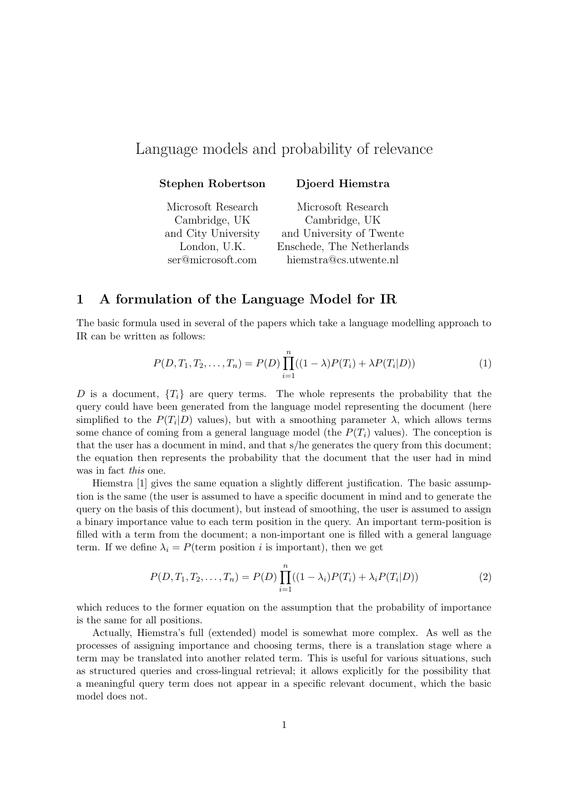# Language models and probability of relevance

|  |  |  | <b>Stephen Robertson</b> |  |
|--|--|--|--------------------------|--|
|--|--|--|--------------------------|--|

n Djoerd Hiemstra

Microsoft Research Microsoft Research Cambridge, UK Cambridge, UK and City University and University of Twente London, U.K. Enschede, The Netherlands ser@microsoft.com hiemstra@cs.utwente.nl

# 1 A formulation of the Language Model for IR

The basic formula used in several of the papers which take a language modelling approach to IR can be written as follows:

$$
P(D, T_1, T_2, \dots, T_n) = P(D) \prod_{i=1}^n ((1 - \lambda)P(T_i) + \lambda P(T_i|D))
$$
\n(1)

D is a document,  ${T_i}$  are query terms. The whole represents the probability that the query could have been generated from the language model representing the document (here simplified to the  $P(T_i|D)$  values), but with a smoothing parameter  $\lambda$ , which allows terms some chance of coming from a general language model (the  $P(T_i)$  values). The conception is that the user has a document in mind, and that s/he generates the query from this document; the equation then represents the probability that the document that the user had in mind was in fact this one.

Hiemstra [1] gives the same equation a slightly different justification. The basic assumption is the same (the user is assumed to have a specific document in mind and to generate the query on the basis of this document), but instead of smoothing, the user is assumed to assign a binary importance value to each term position in the query. An important term-position is filled with a term from the document; a non-important one is filled with a general language term. If we define  $\lambda_i = P(\text{term position } i \text{ is important}),$  then we get

$$
P(D, T_1, T_2, \dots, T_n) = P(D) \prod_{i=1}^n ((1 - \lambda_i) P(T_i) + \lambda_i P(T_i | D))
$$
\n(2)

which reduces to the former equation on the assumption that the probability of importance is the same for all positions.

Actually, Hiemstra's full (extended) model is somewhat more complex. As well as the processes of assigning importance and choosing terms, there is a translation stage where a term may be translated into another related term. This is useful for various situations, such as structured queries and cross-lingual retrieval; it allows explicitly for the possibility that a meaningful query term does not appear in a specific relevant document, which the basic model does not.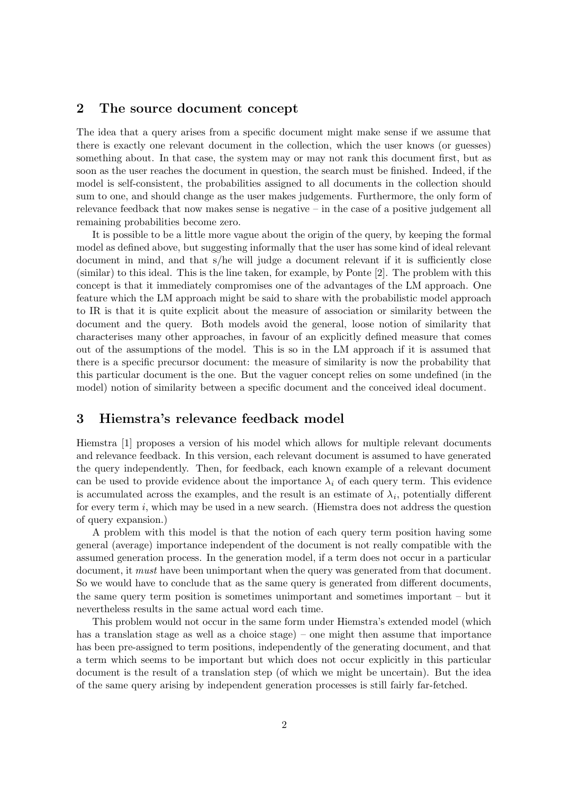### 2 The source document concept

The idea that a query arises from a specific document might make sense if we assume that there is exactly one relevant document in the collection, which the user knows (or guesses) something about. In that case, the system may or may not rank this document first, but as soon as the user reaches the document in question, the search must be finished. Indeed, if the model is self-consistent, the probabilities assigned to all documents in the collection should sum to one, and should change as the user makes judgements. Furthermore, the only form of relevance feedback that now makes sense is negative – in the case of a positive judgement all remaining probabilities become zero.

It is possible to be a little more vague about the origin of the query, by keeping the formal model as defined above, but suggesting informally that the user has some kind of ideal relevant document in mind, and that s/he will judge a document relevant if it is sufficiently close (similar) to this ideal. This is the line taken, for example, by Ponte [2]. The problem with this concept is that it immediately compromises one of the advantages of the LM approach. One feature which the LM approach might be said to share with the probabilistic model approach to IR is that it is quite explicit about the measure of association or similarity between the document and the query. Both models avoid the general, loose notion of similarity that characterises many other approaches, in favour of an explicitly defined measure that comes out of the assumptions of the model. This is so in the LM approach if it is assumed that there is a specific precursor document: the measure of similarity is now the probability that this particular document is the one. But the vaguer concept relies on some undefined (in the model) notion of similarity between a specific document and the conceived ideal document.

# 3 Hiemstra's relevance feedback model

Hiemstra [1] proposes a version of his model which allows for multiple relevant documents and relevance feedback. In this version, each relevant document is assumed to have generated the query independently. Then, for feedback, each known example of a relevant document can be used to provide evidence about the importance  $\lambda_i$  of each query term. This evidence is accumulated across the examples, and the result is an estimate of  $\lambda_i$ , potentially different for every term i, which may be used in a new search. (Hiemstra does not address the question of query expansion.)

A problem with this model is that the notion of each query term position having some general (average) importance independent of the document is not really compatible with the assumed generation process. In the generation model, if a term does not occur in a particular document, it *must* have been unimportant when the query was generated from that document. So we would have to conclude that as the same query is generated from different documents, the same query term position is sometimes unimportant and sometimes important – but it nevertheless results in the same actual word each time.

This problem would not occur in the same form under Hiemstra's extended model (which has a translation stage as well as a choice stage) – one might then assume that importance has been pre-assigned to term positions, independently of the generating document, and that a term which seems to be important but which does not occur explicitly in this particular document is the result of a translation step (of which we might be uncertain). But the idea of the same query arising by independent generation processes is still fairly far-fetched.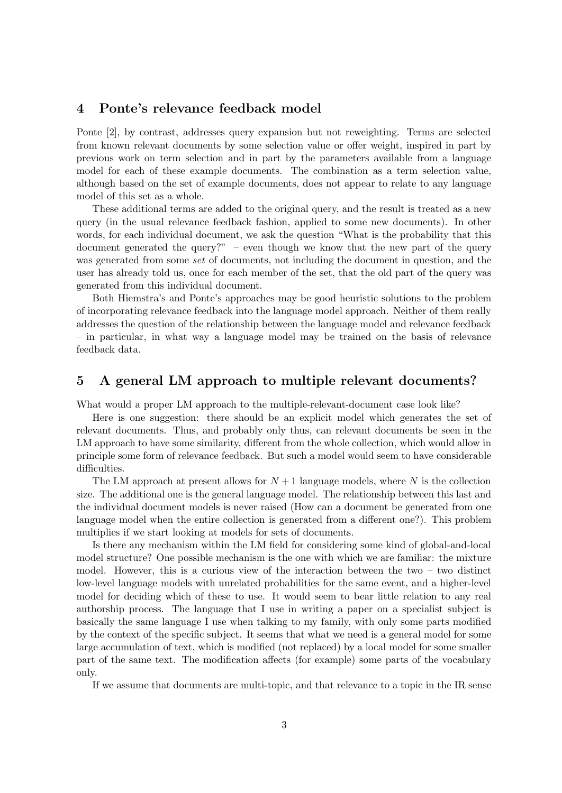### 4 Ponte's relevance feedback model

Ponte [2], by contrast, addresses query expansion but not reweighting. Terms are selected from known relevant documents by some selection value or offer weight, inspired in part by previous work on term selection and in part by the parameters available from a language model for each of these example documents. The combination as a term selection value, although based on the set of example documents, does not appear to relate to any language model of this set as a whole.

These additional terms are added to the original query, and the result is treated as a new query (in the usual relevance feedback fashion, applied to some new documents). In other words, for each individual document, we ask the question "What is the probability that this document generated the query?" – even though we know that the new part of the query was generated from some set of documents, not including the document in question, and the user has already told us, once for each member of the set, that the old part of the query was generated from this individual document.

Both Hiemstra's and Ponte's approaches may be good heuristic solutions to the problem of incorporating relevance feedback into the language model approach. Neither of them really addresses the question of the relationship between the language model and relevance feedback – in particular, in what way a language model may be trained on the basis of relevance feedback data.

### 5 A general LM approach to multiple relevant documents?

What would a proper LM approach to the multiple-relevant-document case look like?

Here is one suggestion: there should be an explicit model which generates the set of relevant documents. Thus, and probably only thus, can relevant documents be seen in the LM approach to have some similarity, different from the whole collection, which would allow in principle some form of relevance feedback. But such a model would seem to have considerable difficulties.

The LM approach at present allows for  $N+1$  language models, where N is the collection size. The additional one is the general language model. The relationship between this last and the individual document models is never raised (How can a document be generated from one language model when the entire collection is generated from a different one?). This problem multiplies if we start looking at models for sets of documents.

Is there any mechanism within the LM field for considering some kind of global-and-local model structure? One possible mechanism is the one with which we are familiar: the mixture model. However, this is a curious view of the interaction between the two – two distinct low-level language models with unrelated probabilities for the same event, and a higher-level model for deciding which of these to use. It would seem to bear little relation to any real authorship process. The language that I use in writing a paper on a specialist subject is basically the same language I use when talking to my family, with only some parts modified by the context of the specific subject. It seems that what we need is a general model for some large accumulation of text, which is modified (not replaced) by a local model for some smaller part of the same text. The modification affects (for example) some parts of the vocabulary only.

If we assume that documents are multi-topic, and that relevance to a topic in the IR sense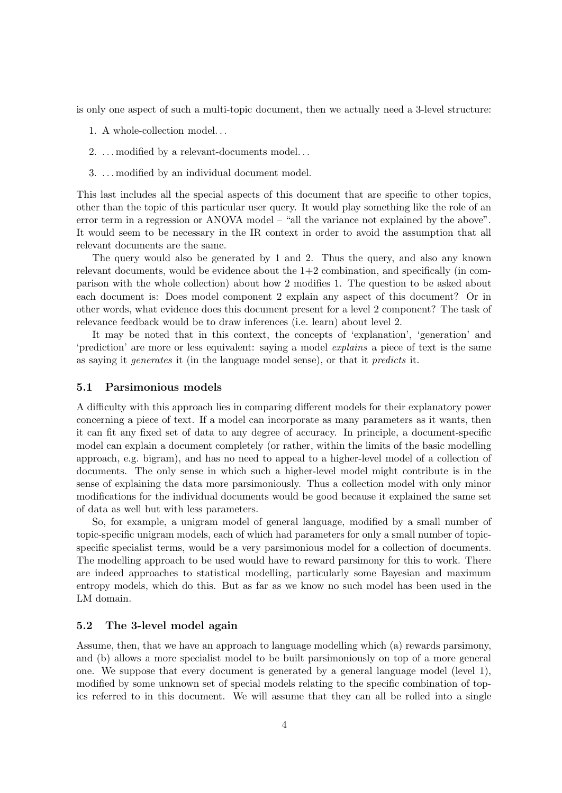is only one aspect of such a multi-topic document, then we actually need a 3-level structure:

- 1. A whole-collection model. . .
- 2. . . . modified by a relevant-documents model. . .
- 3. . . . modified by an individual document model.

This last includes all the special aspects of this document that are specific to other topics, other than the topic of this particular user query. It would play something like the role of an error term in a regression or ANOVA model – "all the variance not explained by the above". It would seem to be necessary in the IR context in order to avoid the assumption that all relevant documents are the same.

The query would also be generated by 1 and 2. Thus the query, and also any known relevant documents, would be evidence about the  $1+2$  combination, and specifically (in comparison with the whole collection) about how 2 modifies 1. The question to be asked about each document is: Does model component 2 explain any aspect of this document? Or in other words, what evidence does this document present for a level 2 component? The task of relevance feedback would be to draw inferences (i.e. learn) about level 2.

It may be noted that in this context, the concepts of 'explanation', 'generation' and 'prediction' are more or less equivalent: saying a model explains a piece of text is the same as saying it generates it (in the language model sense), or that it predicts it.

#### 5.1 Parsimonious models

A difficulty with this approach lies in comparing different models for their explanatory power concerning a piece of text. If a model can incorporate as many parameters as it wants, then it can fit any fixed set of data to any degree of accuracy. In principle, a document-specific model can explain a document completely (or rather, within the limits of the basic modelling approach, e.g. bigram), and has no need to appeal to a higher-level model of a collection of documents. The only sense in which such a higher-level model might contribute is in the sense of explaining the data more parsimoniously. Thus a collection model with only minor modifications for the individual documents would be good because it explained the same set of data as well but with less parameters.

So, for example, a unigram model of general language, modified by a small number of topic-specific unigram models, each of which had parameters for only a small number of topicspecific specialist terms, would be a very parsimonious model for a collection of documents. The modelling approach to be used would have to reward parsimony for this to work. There are indeed approaches to statistical modelling, particularly some Bayesian and maximum entropy models, which do this. But as far as we know no such model has been used in the LM domain.

#### 5.2 The 3-level model again

Assume, then, that we have an approach to language modelling which (a) rewards parsimony, and (b) allows a more specialist model to be built parsimoniously on top of a more general one. We suppose that every document is generated by a general language model (level 1), modified by some unknown set of special models relating to the specific combination of topics referred to in this document. We will assume that they can all be rolled into a single